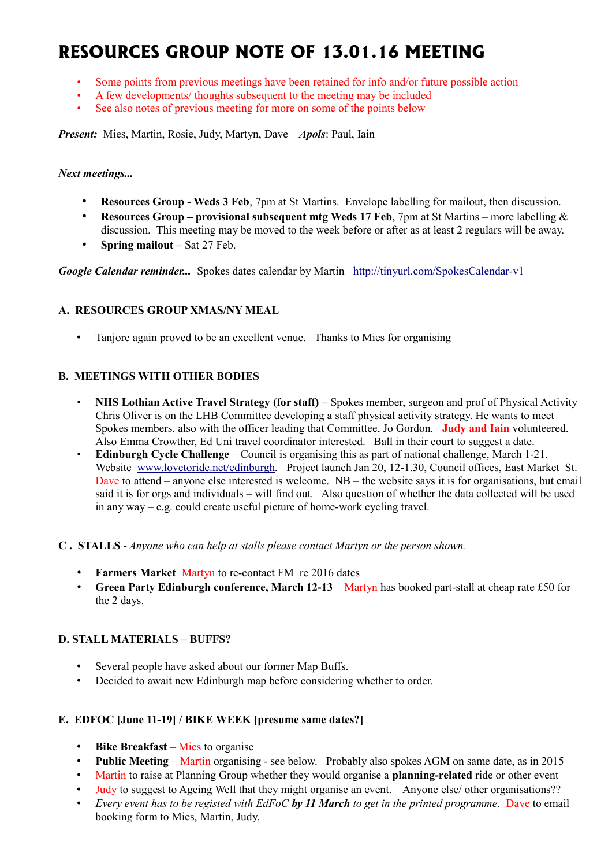# **RESOURCES GROUP NOTE OF 13.01.16 MEETING**

- Some points from previous meetings have been retained for info and/or future possible action
- A few developments/ thoughts subsequent to the meeting may be included
- See also notes of previous meeting for more on some of the points below

*Present:* Mies, Martin, Rosie, Judy, Martyn, Dave *Apols*: Paul, Iain

#### *Next meetings...*

- **Resources Group Weds 3 Feb**, 7pm at St Martins. Envelope labelling for mailout, then discussion.
- **Resources Group provisional subsequent mtg Weds 17 Feb**, 7pm at St Martins more labelling & discussion. This meeting may be moved to the week before or after as at least 2 regulars will be away.
- **Spring mailout –** Sat 27 Feb.

*Google Calendar reminder...* Spokes dates calendar by Martin <http://tinyurl.com/SpokesCalendar-v1>

## **A. RESOURCES GROUP XMAS/NY MEAL**

• Tanjore again proved to be an excellent venue. Thanks to Mies for organising

## **B. MEETINGS WITH OTHER BODIES**

- **NHS Lothian Active Travel Strategy (for staff) –** Spokes member, surgeon and prof of Physical Activity Chris Oliver is on the LHB Committee developing a staff physical activity strategy. He wants to meet Spokes members, also with the officer leading that Committee, Jo Gordon. **Judy and Iain** volunteered. Also Emma Crowther, Ed Uni travel coordinator interested. Ball in their court to suggest a date.
- **Edinburgh Cycle Challenge** Council is organising this as part of national challenge, March 1-21. Website [www.lovetoride.net/edinburgh](http://www.lovetoride.net/edinburgh)*.* Project launch Jan 20, 12-1.30, Council offices, East Market St. Dave to attend – anyone else interested is welcome. NB – the website says it is for organisations, but email said it is for orgs and individuals – will find out. Also question of whether the data collected will be used in any way – e.g. could create useful picture of home-work cycling travel.
- **C . STALLS** *Anyone who can help at stalls please contact Martyn or the person shown.*
	- **Farmers Market** Martyn to re-contact FM re 2016 dates
	- **Green Party Edinburgh conference, March 12-13** Martyn has booked part-stall at cheap rate £50 for the 2 days.

## **D. STALL MATERIALS – BUFFS?**

- Several people have asked about our former Map Buffs.
- Decided to await new Edinburgh map before considering whether to order.

## **E. EDFOC [June 11-19] / BIKE WEEK [presume same dates?]**

- **Bike Breakfast** Mies to organise
- **Public Meeting** Martin organising see below. Probably also spokes AGM on same date, as in 2015
- Martin to raise at Planning Group whether they would organise a **planning-related** ride or other event
- Judy to suggest to Ageing Well that they might organise an event. Anyone else/ other organisations??
- *Every event has to be registed with EdFoC by 11 March to get in the printed programme*. Dave to email booking form to Mies, Martin, Judy.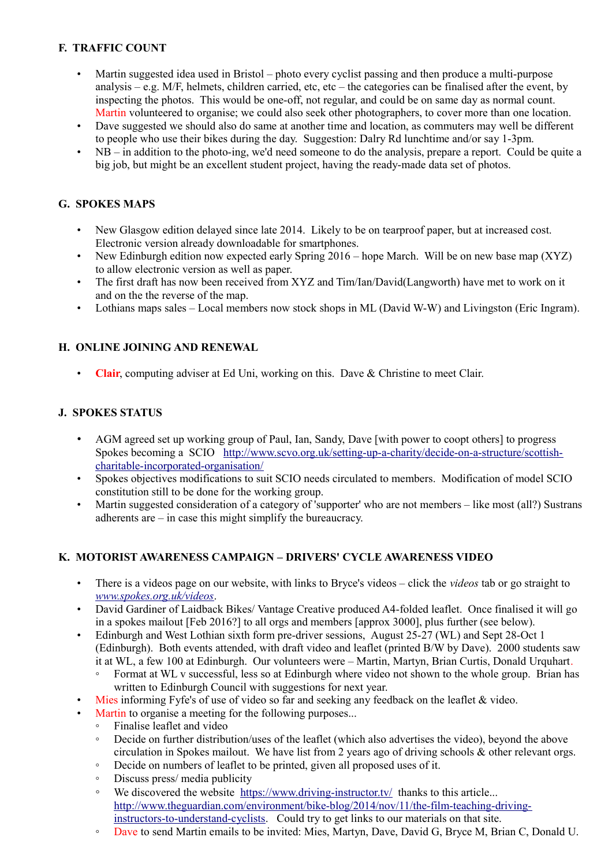## **F. TRAFFIC COUNT**

- Martin suggested idea used in Bristol photo every cyclist passing and then produce a multi-purpose analysis – e.g.  $M/F$ , helmets, children carried, etc, etc – the categories can be finalised after the event, by inspecting the photos. This would be one-off, not regular, and could be on same day as normal count. Martin volunteered to organise; we could also seek other photographers, to cover more than one location.
- Dave suggested we should also do same at another time and location, as commuters may well be different to people who use their bikes during the day. Suggestion: Dalry Rd lunchtime and/or say 1-3pm.
- NB in addition to the photo-ing, we'd need someone to do the analysis, prepare a report. Could be quite a big job, but might be an excellent student project, having the ready-made data set of photos.

## **G. SPOKES MAPS**

- New Glasgow edition delayed since late 2014. Likely to be on tearproof paper, but at increased cost. Electronic version already downloadable for smartphones.
- New Edinburgh edition now expected early Spring 2016 hope March. Will be on new base map (XYZ) to allow electronic version as well as paper.
- The first draft has now been received from XYZ and Tim/Ian/David(Langworth) have met to work on it and on the the reverse of the map.
- Lothians maps sales Local members now stock shops in ML (David W-W) and Livingston (Eric Ingram).

## **H. ONLINE JOINING AND RENEWAL**

• **Clair**, computing adviser at Ed Uni, working on this. Dave & Christine to meet Clair.

## **J. SPOKES STATUS**

- AGM agreed set up working group of Paul, Ian, Sandy, Dave [with power to coopt others] to progress Spokes becoming a SCIO [http://www.scvo.org.uk/setting-up-a-charity/decide-on-a-structure/scottish](http://www.scvo.org.uk/setting-up-a-charity/decide-on-a-structure/scottish-charitable-incorporated-organisation/)[charitable-incorporated-organisation/](http://www.scvo.org.uk/setting-up-a-charity/decide-on-a-structure/scottish-charitable-incorporated-organisation/)
- Spokes objectives modifications to suit SCIO needs circulated to members. Modification of model SCIO constitution still to be done for the working group.
- Martin suggested consideration of a category of 'supporter' who are not members like most (all?) Sustrans adherents are – in case this might simplify the bureaucracy.

## **K. MOTORIST AWARENESS CAMPAIGN – DRIVERS' CYCLE AWARENESS VIDEO**

- There is a videos page on our website, with links to Bryce's videos click the *videos* tab or go straight to *[www.spokes.org.uk/videos](http://www.spokes.org.uk/videos)*.
- David Gardiner of Laidback Bikes/ Vantage Creative produced A4-folded leaflet. Once finalised it will go in a spokes mailout [Feb 2016?] to all orgs and members [approx 3000], plus further (see below).
- Edinburgh and West Lothian sixth form pre-driver sessions, August 25-27 (WL) and Sept 28-Oct 1 (Edinburgh). Both events attended, with draft video and leaflet (printed B/W by Dave). 2000 students saw it at WL, a few 100 at Edinburgh. Our volunteers were – Martin, Martyn, Brian Curtis, Donald Urquhart.
	- Format at WL v successful, less so at Edinburgh where video not shown to the whole group. Brian has written to Edinburgh Council with suggestions for next year.
- Mies informing Fyfe's of use of video so far and seeking any feedback on the leaflet & video.
- Martin to organise a meeting for the following purposes...
	- Finalise leaflet and video
	- Decide on further distribution/uses of the leaflet (which also advertises the video), beyond the above circulation in Spokes mailout. We have list from 2 years ago of driving schools & other relevant orgs.
	- Decide on numbers of leaflet to be printed, given all proposed uses of it.
	- Discuss press/ media publicity
	- We discovered the website <https://www.driving-instructor.tv/>thanks to this article... [http://www.theguardian.com/environment/bike-blog/2014/nov/11/the-film-teaching-driving](http://www.theguardian.com/environment/bike-blog/2014/nov/11/the-film-teaching-driving-instructors-to-understand-cyclists)[instructors-to-understand-cyclists.](http://www.theguardian.com/environment/bike-blog/2014/nov/11/the-film-teaching-driving-instructors-to-understand-cyclists) Could try to get links to our materials on that site.
	- Dave to send Martin emails to be invited: Mies, Martyn, Dave, David G, Bryce M, Brian C, Donald U.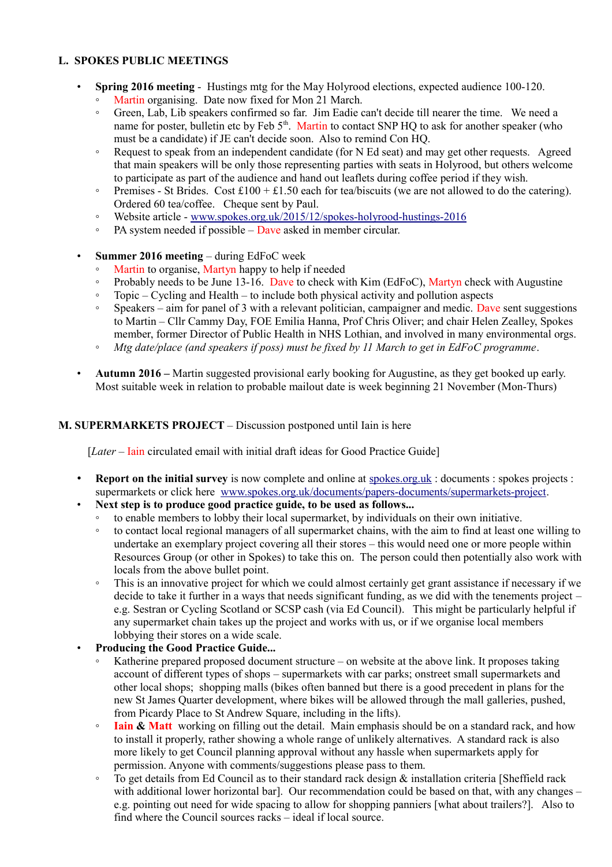## **L. SPOKES PUBLIC MEETINGS**

- **Spring 2016 meeting** Hustings mtg for the May Holyrood elections, expected audience 100-120.
	- Martin organising. Date now fixed for Mon 21 March.
	- Green, Lab, Lib speakers confirmed so far. Jim Eadie can't decide till nearer the time. We need a name for poster, bulletin etc by Feb 5<sup>th</sup>. Martin to contact SNP HQ to ask for another speaker (who must be a candidate) if JE can't decide soon. Also to remind Con HQ.
	- Request to speak from an independent candidate (for N Ed seat) and may get other requests. Agreed that main speakers will be only those representing parties with seats in Holyrood, but others welcome to participate as part of the audience and hand out leaflets during coffee period if they wish.
	- Premises St Brides. Cost £100 + £1.50 each for tea/biscuits (we are not allowed to do the catering). Ordered 60 tea/coffee. Cheque sent by Paul.
	- Website article - [www.spokes.org.uk/2015/12/spokes-holyrood-hustings-2016](http://www.spokes.org.uk/2015/12/spokes-holyrood-hustings-2016)
	- PA system needed if possible Dave asked in member circular.
- **Summer 2016 meeting** during EdFoC week
	- Martin to organise, Martyn happy to help if needed
	- Probably needs to be June 13-16. Dave to check with Kim (EdFoC), Martyn check with Augustine
	- Topic Cycling and Health to include both physical activity and pollution aspects
	- Speakers aim for panel of 3 with a relevant politician, campaigner and medic. Dave sent suggestions to Martin – Cllr Cammy Day, FOE Emilia Hanna, Prof Chris Oliver; and chair Helen Zealley, Spokes member, former Director of Public Health in NHS Lothian, and involved in many environmental orgs.
	- *Mtg date/place (and speakers if poss) must be fixed by 11 March to get in EdFoC programme*.
- **Autumn 2016 –** Martin suggested provisional early booking for Augustine, as they get booked up early. Most suitable week in relation to probable mailout date is week beginning 21 November (Mon-Thurs)

## **M. SUPERMARKETS PROJECT** – Discussion postponed until Iain is here

[*Later* – **Iain** circulated email with initial draft ideas for Good Practice Guide]

- **Report on the initial survey** is now complete and online at spokes.org.uk: documents : spokes projects : supermarkets or click here [www.spokes.org.uk/documents/papers-documents/supermarkets-project.](http://www.spokes.org.uk/documents/papers-documents/supermarkets-project/)
- **Next step is to produce good practice guide, to be used as follows...**
	- to enable members to lobby their local supermarket, by individuals on their own initiative.
	- to contact local regional managers of all supermarket chains, with the aim to find at least one willing to undertake an exemplary project covering all their stores – this would need one or more people within Resources Group (or other in Spokes) to take this on. The person could then potentially also work with locals from the above bullet point.
	- This is an innovative project for which we could almost certainly get grant assistance if necessary if we decide to take it further in a ways that needs significant funding, as we did with the tenements project – e.g. Sestran or Cycling Scotland or SCSP cash (via Ed Council). This might be particularly helpful if any supermarket chain takes up the project and works with us, or if we organise local members lobbying their stores on a wide scale.

#### • **Producing the Good Practice Guide...**

- Katherine prepared proposed document structure on website at the above link. It proposes taking account of different types of shops – supermarkets with car parks; onstreet small supermarkets and other local shops; shopping malls (bikes often banned but there is a good precedent in plans for the new St James Quarter development, where bikes will be allowed through the mall galleries, pushed, from Picardy Place to St Andrew Square, including in the lifts).
- **Iain & Matt** working on filling out the detail. Main emphasis should be on a standard rack, and how to install it properly, rather showing a whole range of unlikely alternatives. A standard rack is also more likely to get Council planning approval without any hassle when supermarkets apply for permission. Anyone with comments/suggestions please pass to them.
- To get details from Ed Council as to their standard rack design  $\&$  installation criteria [Sheffield rack] with additional lower horizontal bar]. Our recommendation could be based on that, with any changes – e.g. pointing out need for wide spacing to allow for shopping panniers [what about trailers?]. Also to find where the Council sources racks – ideal if local source.